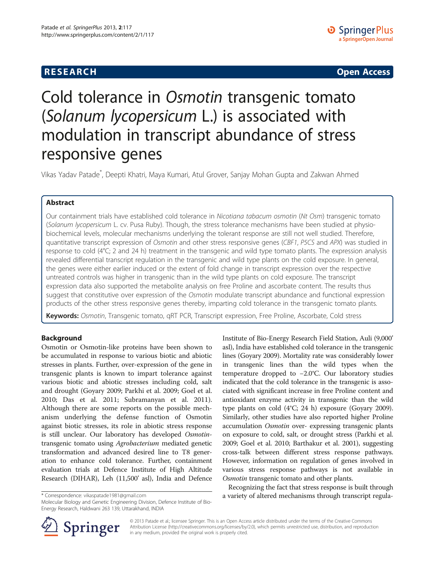# **RESEARCH RESEARCH CONSUMING ACCESS**

# Cold tolerance in Osmotin transgenic tomato (Solanum lycopersicum L.) is associated with modulation in transcript abundance of stress responsive genes

Vikas Yadav Patade\* , Deepti Khatri, Maya Kumari, Atul Grover, Sanjay Mohan Gupta and Zakwan Ahmed

# Abstract

Our containment trials have established cold tolerance in Nicotiana tabacum osmotin (Nt Osm) transgenic tomato (Solanum lycopersicum L. cv. Pusa Ruby). Though, the stress tolerance mechanisms have been studied at physiobiochemical levels, molecular mechanisms underlying the tolerant response are still not well studied. Therefore, quantitative transcript expression of Osmotin and other stress responsive genes (CBF1, P5CS and APX) was studied in response to cold (4°C; 2 and 24 h) treatment in the transgenic and wild type tomato plants. The expression analysis revealed differential transcript regulation in the transgenic and wild type plants on the cold exposure. In general, the genes were either earlier induced or the extent of fold change in transcript expression over the respective untreated controls was higher in transgenic than in the wild type plants on cold exposure. The transcript expression data also supported the metabolite analysis on free Proline and ascorbate content. The results thus suggest that constitutive over expression of the Osmotin modulate transcript abundance and functional expression products of the other stress responsive genes thereby, imparting cold tolerance in the transgenic tomato plants.

Keywords: Osmotin, Transgenic tomato, qRT PCR, Transcript expression, Free Proline, Ascorbate, Cold stress

# Background

Osmotin or Osmotin-like proteins have been shown to be accumulated in response to various biotic and abiotic stresses in plants. Further, over-expression of the gene in transgenic plants is known to impart tolerance against various biotic and abiotic stresses including cold, salt and drought (Goyary [2009;](#page-6-0) Parkhi et al. [2009](#page-6-0); Goel et al. [2010](#page-6-0); Das et al. [2011;](#page-6-0) Subramanyan et al. [2011](#page-6-0)). Although there are some reports on the possible mechanism underlying the defense function of Osmotin against biotic stresses, its role in abiotic stress response is still unclear. Our laboratory has developed Osmotintransgenic tomato using Agrobacterium mediated genetic transformation and advanced desired line to T8 generation to enhance cold tolerance. Further, containment evaluation trials at Defence Institute of High Altitude Research (DIHAR), Leh (11,500' asl), India and Defence

Energy Research, Haldwani 263 139, Uttarakhand, INDIA

Institute of Bio-Energy Research Field Station, Auli (9,000' asl), India have established cold tolerance in the transgenic lines (Goyary [2009\)](#page-6-0). Mortality rate was considerably lower in transgenic lines than the wild types when the temperature dropped to −2.0°C. Our laboratory studies indicated that the cold tolerance in the transgenic is associated with significant increase in free Proline content and antioxidant enzyme activity in transgenic than the wild type plants on cold (4°C; 24 h) exposure (Goyary [2009](#page-6-0)). Similarly, other studies have also reported higher Proline accumulation Osmotin over- expressing transgenic plants on exposure to cold, salt, or drought stress (Parkhi et al. [2009;](#page-6-0) Goel et al. [2010](#page-6-0); Barthakur et al. [2001\)](#page-6-0), suggesting cross-talk between different stress response pathways. However, information on regulation of genes involved in various stress response pathways is not available in Osmotin transgenic tomato and other plants.

Recognizing the fact that stress response is built through \* Correspondence: [vikaspatade1981@gmail.com](mailto:vikaspatade1981@gmail.com) a variety of altered mechanisms through transcript regula- Molecular Biology and Genetic Engineering Division, Defence Institute of Bio-



© 2013 Patade et al.; licensee Springer. This is an Open Access article distributed under the terms of the Creative Commons Attribution License [\(http://creativecommons.org/licenses/by/2.0\)](http://creativecommons.org/licenses/by/2.0), which permits unrestricted use, distribution, and reproduction in any medium, provided the original work is properly cited.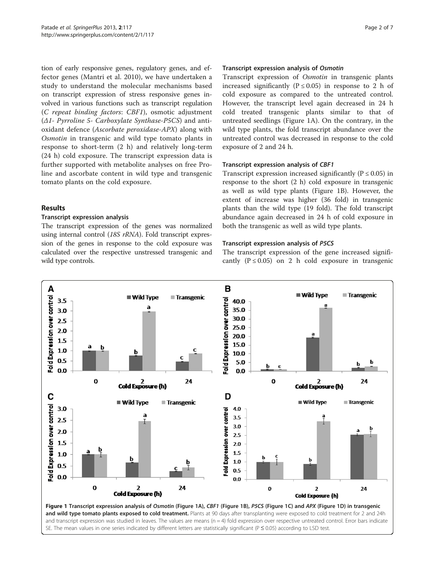<span id="page-1-0"></span>tion of early responsive genes, regulatory genes, and effector genes (Mantri et al. [2010\)](#page-6-0), we have undertaken a study to understand the molecular mechanisms based on transcript expression of stress responsive genes involved in various functions such as transcript regulation (C repeat binding factors: CBF1), osmotic adjustment (Δ1- Pyrroline 5- Carboxylate Synthase-P5CS) and antioxidant defence (Ascorbate peroxidase-APX) along with Osmotin in transgenic and wild type tomato plants in response to short-term (2 h) and relatively long-term (24 h) cold exposure. The transcript expression data is further supported with metabolite analyses on free Proline and ascorbate content in wild type and transgenic tomato plants on the cold exposure.

### Results

## Transcript expression analysis

The transcript expression of the genes was normalized using internal control (18S rRNA). Fold transcript expression of the genes in response to the cold exposure was calculated over the respective unstressed transgenic and wild type controls.

#### Transcript expression analysis of Osmotin

Transcript expression of Osmotin in transgenic plants increased significantly ( $P \le 0.05$ ) in response to 2 h of cold exposure as compared to the untreated control. However, the transcript level again decreased in 24 h cold treated transgenic plants similar to that of untreated seedlings (Figure 1A). On the contrary, in the wild type plants, the fold transcript abundance over the untreated control was decreased in response to the cold exposure of 2 and 24 h.

#### Transcript expression analysis of CBF1

Transcript expression increased significantly ( $P \le 0.05$ ) in response to the short (2 h) cold exposure in transgenic as well as wild type plants (Figure 1B). However, the extent of increase was higher (36 fold) in transgenic plants than the wild type (19 fold). The fold transcript abundance again decreased in 24 h of cold exposure in both the transgenic as well as wild type plants.

#### Transcript expression analysis of P5CS

The transcript expression of the gene increased significantly ( $P \le 0.05$ ) on 2 h cold exposure in transgenic



and transcript expression was studied in leaves. The values are means (n = 4) fold expression over respective untreated control. Error bars indicate SE. The mean values in one series indicated by different letters are statistically significant (P ≤ 0.05) according to LSD test.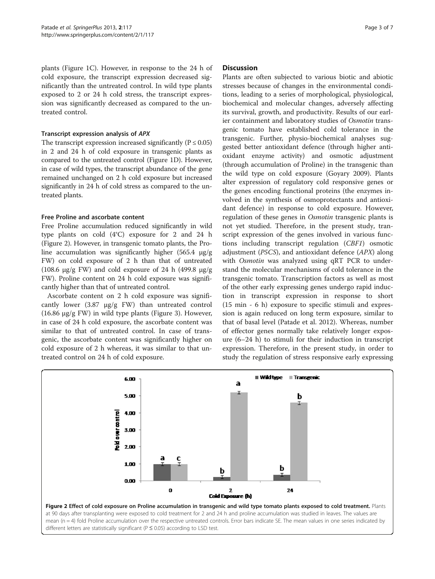plants (Figure [1C](#page-1-0)). However, in response to the 24 h of cold exposure, the transcript expression decreased significantly than the untreated control. In wild type plants exposed to 2 or 24 h cold stress, the transcript expression was significantly decreased as compared to the untreated control.

## Transcript expression analysis of APX

The transcript expression increased significantly ( $P \le 0.05$ ) in 2 and 24 h of cold exposure in transgenic plants as compared to the untreated control (Figure [1D](#page-1-0)). However, in case of wild types, the transcript abundance of the gene remained unchanged on 2 h cold exposure but increased significantly in 24 h of cold stress as compared to the untreated plants.

## Free Proline and ascorbate content

Free Proline accumulation reduced significantly in wild type plants on cold (4°C) exposure for 2 and 24 h (Figure 2). However, in transgenic tomato plants, the Proline accumulation was significantly higher (565.4 μg/g FW) on cold exposure of 2 h than that of untreated (108.6  $\mu$ g/g FW) and cold exposure of 24 h (499.8  $\mu$ g/g FW). Proline content on 24 h cold exposure was significantly higher than that of untreated control.

Ascorbate content on 2 h cold exposure was significantly lower (3.87 μg/g FW) than untreated control (16.86 μg/g FW) in wild type plants (Figure [3](#page-3-0)). However, in case of 24 h cold exposure, the ascorbate content was similar to that of untreated control. In case of transgenic, the ascorbate content was significantly higher on cold exposure of 2 h whereas, it was similar to that untreated control on 24 h of cold exposure.

### Discussion

Plants are often subjected to various biotic and abiotic stresses because of changes in the environmental conditions, leading to a series of morphological, physiological, biochemical and molecular changes, adversely affecting its survival, growth, and productivity. Results of our earlier containment and laboratory studies of Osmotin transgenic tomato have established cold tolerance in the transgenic. Further, physio-biochemical analyses suggested better antioxidant defence (through higher antioxidant enzyme activity) and osmotic adjustment (through accumulation of Proline) in the transgenic than the wild type on cold exposure (Goyary [2009](#page-6-0)). Plants alter expression of regulatory cold responsive genes or the genes encoding functional proteins (the enzymes involved in the synthesis of osmoprotectants and antioxidant defence) in response to cold exposure. However, regulation of these genes in Osmotin transgenic plants is not yet studied. Therefore, in the present study, transcript expression of the genes involved in various functions including transcript regulation (CBF1) osmotic adjustment (P5CS), and antioxidant defence (APX) along with Osmotin was analyzed using qRT PCR to understand the molecular mechanisms of cold tolerance in the transgenic tomato. Transcription factors as well as most of the other early expressing genes undergo rapid induction in transcript expression in response to short (15 min - 6 h) exposure to specific stimuli and expression is again reduced on long term exposure, similar to that of basal level (Patade et al. [2012](#page-6-0)). Whereas, number of effector genes normally take relatively longer exposure (6–24 h) to stimuli for their induction in transcript expression. Therefore, in the present study, in order to study the regulation of stress responsive early expressing

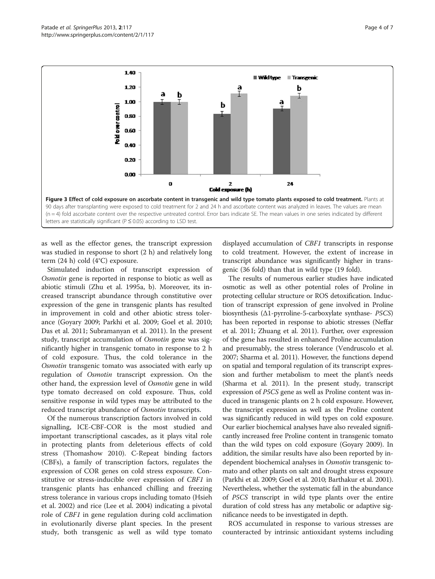<span id="page-3-0"></span>

as well as the effector genes, the transcript expression was studied in response to short (2 h) and relatively long term (24 h) cold (4°C) exposure.

Stimulated induction of transcript expression of Osmotin gene is reported in response to biotic as well as abiotic stimuli (Zhu et al. [1995a](#page-6-0), [b\)](#page-6-0). Moreover, its increased transcript abundance through constitutive over expression of the gene in transgenic plants has resulted in improvement in cold and other abiotic stress tolerance (Goyary [2009](#page-6-0); Parkhi et al. [2009](#page-6-0); Goel et al. [2010](#page-6-0); Das et al. [2011;](#page-6-0) Subramanyan et al. [2011](#page-6-0)). In the present study, transcript accumulation of Osmotin gene was significantly higher in transgenic tomato in response to 2 h of cold exposure. Thus, the cold tolerance in the Osmotin transgenic tomato was associated with early up regulation of Osmotin transcript expression. On the other hand, the expression level of Osmotin gene in wild type tomato decreased on cold exposure. Thus, cold sensitive response in wild types may be attributed to the reduced transcript abundance of Osmotin transcripts.

Of the numerous transcription factors involved in cold signalling, ICE-CBF-COR is the most studied and important transcriptional cascades, as it plays vital role in protecting plants from deleterious effects of cold stress (Thomashow [2010](#page-6-0)). C-Repeat binding factors (CBFs), a family of transcription factors, regulates the expression of COR genes on cold stress exposure. Constitutive or stress-inducible over expression of CBF1 in transgenic plants has enhanced chilling and freezing stress tolerance in various crops including tomato (Hsieh et al. [2002](#page-6-0)) and rice (Lee et al. [2004\)](#page-6-0) indicating a pivotal role of CBF1 in gene regulation during cold acclimation in evolutionarily diverse plant species. In the present study, both transgenic as well as wild type tomato displayed accumulation of CBF1 transcripts in response to cold treatment. However, the extent of increase in transcript abundance was significantly higher in transgenic (36 fold) than that in wild type (19 fold).

The results of numerous earlier studies have indicated osmotic as well as other potential roles of Proline in protecting cellular structure or ROS detoxification. Induction of transcript expression of gene involved in Proline biosynthesis  $(\Delta 1$ -pyrroline-5-carboxylate synthase- P5CS) has been reported in response to abiotic stresses (Neffar et al. [2011;](#page-6-0) Zhuang et al. [2011](#page-6-0)). Further, over expression of the gene has resulted in enhanced Proline accumulation and presumably, the stress tolerance (Vendruscolo et al. [2007;](#page-6-0) Sharma et al. [2011](#page-6-0)). However, the functions depend on spatial and temporal regulation of its transcript expression and further metabolism to meet the plant's needs (Sharma et al. [2011](#page-6-0)). In the present study, transcript expression of P5CS gene as well as Proline content was induced in transgenic plants on 2 h cold exposure. However, the transcript expression as well as the Proline content was significantly reduced in wild types on cold exposure. Our earlier biochemical analyses have also revealed significantly increased free Proline content in transgenic tomato than the wild types on cold exposure (Goyary [2009\)](#page-6-0). In addition, the similar results have also been reported by independent biochemical analyses in Osmotin transgenic tomato and other plants on salt and drought stress exposure (Parkhi et al. [2009](#page-6-0); Goel et al. [2010;](#page-6-0) Barthakur et al. [2001](#page-6-0)). Nevertheless, whether the systematic fall in the abundance of P5CS transcript in wild type plants over the entire duration of cold stress has any metabolic or adaptive significance needs to be investigated in depth.

ROS accumulated in response to various stresses are counteracted by intrinsic antioxidant systems including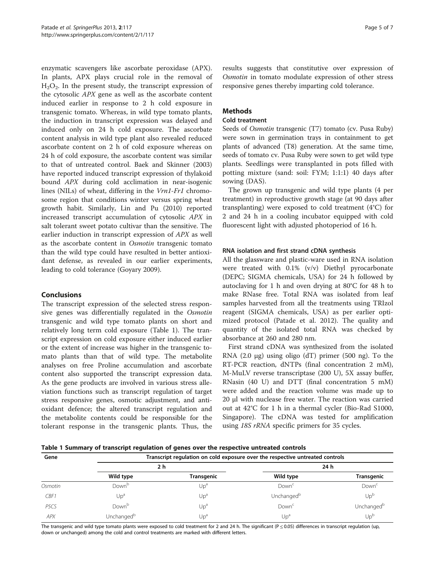enzymatic scavengers like ascorbate peroxidase (APX). In plants, APX plays crucial role in the removal of  $H_2O_2$ . In the present study, the transcript expression of the cytosolic APX gene as well as the ascorbate content induced earlier in response to 2 h cold exposure in transgenic tomato. Whereas, in wild type tomato plants, the induction in transcript expression was delayed and induced only on 24 h cold exposure. The ascorbate content analysis in wild type plant also revealed reduced ascorbate content on 2 h of cold exposure whereas on 24 h of cold exposure, the ascorbate content was similar to that of untreated control. Baek and Skinner ([2003](#page-6-0)) have reported induced transcript expression of thylakoid bound APX during cold acclimation in near-isogenic lines (NILs) of wheat, differing in the Vrn1-Fr1 chromosome region that conditions winter versus spring wheat growth habit. Similarly, Lin and Pu ([2010](#page-6-0)) reported increased transcript accumulation of cytosolic APX in salt tolerant sweet potato cultivar than the sensitive. The earlier induction in transcript expression of APX as well as the ascorbate content in Osmotin transgenic tomato than the wild type could have resulted in better antioxidant defense, as revealed in our earlier experiments, leading to cold tolerance (Goyary [2009\)](#page-6-0).

## Conclusions

The transcript expression of the selected stress responsive genes was differentially regulated in the Osmotin transgenic and wild type tomato plants on short and relatively long term cold exposure (Table 1). The transcript expression on cold exposure either induced earlier or the extent of increase was higher in the transgenic tomato plants than that of wild type. The metabolite analyses on free Proline accumulation and ascorbate content also supported the transcript expression data. As the gene products are involved in various stress alleviation functions such as transcript regulation of target stress responsive genes, osmotic adjustment, and antioxidant defence; the altered transcript regulation and the metabolite contents could be responsible for the tolerant response in the transgenic plants. Thus, the results suggests that constitutive over expression of Osmotin in tomato modulate expression of other stress responsive genes thereby imparting cold tolerance.

## Methods

## Cold treatment

Seeds of Osmotin transgenic (T7) tomato (cv. Pusa Ruby) were sown in germination trays in containment to get plants of advanced (T8) generation. At the same time, seeds of tomato cv. Pusa Ruby were sown to get wild type plants. Seedlings were transplanted in pots filled with potting mixture (sand: soil: FYM; 1:1:1) 40 days after sowing (DAS).

The grown up transgenic and wild type plants (4 per treatment) in reproductive growth stage (at 90 days after transplanting) were exposed to cold treatment (4°C) for 2 and 24 h in a cooling incubator equipped with cold fluorescent light with adjusted photoperiod of 16 h.

### RNA isolation and first strand cDNA synthesis

All the glassware and plastic-ware used in RNA isolation were treated with 0.1% (v/v) Diethyl pyrocarbonate (DEPC; SIGMA chemicals, USA) for 24 h followed by autoclaving for 1 h and oven drying at 80°C for 48 h to make RNase free. Total RNA was isolated from leaf samples harvested from all the treatments using TRIzol reagent (SIGMA chemicals, USA) as per earlier optimized protocol (Patade et al. [2012\)](#page-6-0). The quality and quantity of the isolated total RNA was checked by absorbance at 260 and 280 nm.

First strand cDNA was synthesized from the isolated RNA (2.0 μg) using oligo (dT) primer (500 ng). To the RT-PCR reaction, dNTPs (final concentration 2 mM), M-MuLV reverse transcriptase (200 U), 5X assay buffer, RNasin (40 U) and DTT (final concentration 5 mM) were added and the reaction volume was made up to 20 μl with nuclease free water. The reaction was carried out at 42°C for 1 h in a thermal cycler (Bio-Rad S1000, Singapore). The cDNA was tested for amplification using 18S rRNA specific primers for 35 cycles.

Table 1 Summary of transcript regulation of genes over the respective untreated controls

| Gene              | Transcript regulation on cold exposure over the respective untreated controls |                   |                        |                        |  |
|-------------------|-------------------------------------------------------------------------------|-------------------|------------------------|------------------------|--|
|                   | 2 h                                                                           |                   | 24 h                   |                        |  |
|                   | Wild type                                                                     | <b>Transgenic</b> | Wild type              | <b>Transgenic</b>      |  |
| Osmotin           | Down <sup>b</sup>                                                             | Up <sup>a</sup>   | Down <sup>c</sup>      | Down <sup>c</sup>      |  |
| CBF1              | Up <sup>a</sup>                                                               | Up <sup>a</sup>   | Unchanged <sup>b</sup> | Up <sup>b</sup>        |  |
| P <sub>5</sub> CS | Down <sup>b</sup>                                                             | Up <sup>a</sup>   | Down <sup>c</sup>      | Unchanged <sup>b</sup> |  |
| APX               | Unchanged <sup>b</sup>                                                        | Up <sup>a</sup>   | Up <sup>a</sup>        | $Up^b$                 |  |

The transgenic and wild type tomato plants were exposed to cold treatment for 2 and 24 h. The significant (P  $\leq$  0.05) differences in transcript regulation (up, down or unchanged) among the cold and control treatments are marked with different letters.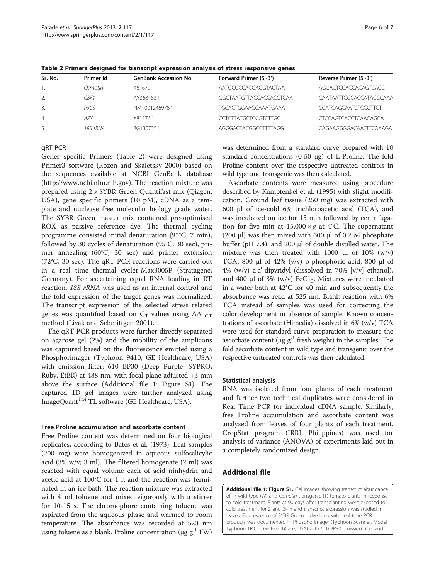| Sr. No.        | Primer Id        | <b>GenBank Accession No.</b> | Forward Primer (5'-3')      | Reverse Primer (5'-3')      |
|----------------|------------------|------------------------------|-----------------------------|-----------------------------|
|                | Osmotin          | X61679.1                     | AATGCGCCACGAGGTACTAA        | AGGACTCCACCACAGTCACC        |
| 2.             | CBF 1            | AY368483.1                   | GGCTAATGTTACCACCACCTCAA     | CAATAATTCGCACCATACCCAAA     |
| 3.             | P <sub>5CS</sub> | NM 001246978.1               | <b>TGCACTGGAAGCAAATGAAA</b> | CCATCAGCAATCTCCGTTCT        |
| $\overline{4}$ | <b>APX</b>       | X81376.1                     | CCTCTTATGCTCCGTCTTGC        | <b>CTCCAGTCACCTCAACAGCA</b> |
| 5.             | 18S rRNA         | BG130735.1                   | AGGGACTACGGCCTTTTAGG        | CAGAAGGGGACAATTTCAAAGA      |

Table 2 Primers designed for transcript expression analysis of stress responsive genes

## qRT PCR

Genes specific Primers (Table 2) were designed using Primer3 software (Rozen and Skaletsky [2000](#page-6-0)) based on the sequences available at NCBI GenBank database (http:/[/www.ncbi.nlm.nih.gov](http://www.ncbi.nlm.nih.gov/)). The reaction mixture was prepared using 2 × SYBR Green Quantifast mix (Qiagen, USA), gene specific primers (10 pM), cDNA as a template and nuclease free molecular biology grade water. The SYBR Green master mix contained pre-optimised ROX as passive reference dye. The thermal cycling programme consisted initial denaturation (95°C, 7 min), followed by 30 cycles of denaturation (95°C, 30 sec), primer annealing (60°C, 30 sec) and primer extension (72°C, 30 sec). The qRT PCR reactions were carried out in a real time thermal cycler-Max3005P (Stratagene, Germany). For ascertaining equal RNA loading in RT reaction, 18S rRNA was used as an internal control and the fold expression of the target genes was normalized. The transcript expression of the selected stress related genes was quantified based on  $C_T$  values using  $\Delta\Delta$   $_{CT}$ method (Livak and Schmittgen [2001\)](#page-6-0).

The qRT PCR products were further directly separated on agarose gel (2%) and the mobility of the amplicons was captured based on the fluorescence emitted using a Phosphorimager (Typhoon 9410, GE Healthcare, USA) with emission filter: 610 BP30 (Deep Purple, SYPRO, Ruby, EtBR) at 488 nm, with focal plane adjusted +3 mm above the surface (Additional file 1: Figure S1). The captured 1D gel images were further analyzed using  $\mathop{\rm Image}$ Quant $^{\rm TM}$  TL software (GE Healthcare, USA).

#### Free Proline accumulation and ascorbate content

Free Proline content was determined on four biological replicates, according to Bates et al. ([1973\)](#page-6-0). Leaf samples (200 mg) were homogenized in aqueous sulfosalicylic acid (3% w/v; 3 ml). The filtered homogenate (2 ml) was reacted with equal volume each of acid ninhydrin and acetic acid at 100°C for 1 h and the reaction was terminated in an ice bath. The reaction mixture was extracted with 4 ml toluene and mixed vigorously with a stirrer for 10-15 s. The chromophore containing toluene was aspirated from the aqueous phase and warmed to room temperature. The absorbance was recorded at 520 nm using toluene as a blank. Proline concentration ( $\mu$ g g<sup>-1</sup> FW) was determined from a standard curve prepared with 10 standard concentrations (0-50 μg) of L-Proline. The fold Proline content over the respective untreated controls in wild type and transgenic was then calculated.

Ascorbate contents were measured using procedure described by Kampfenkel et al. ([1995](#page-6-0)) with slight modification. Ground leaf tissue (250 mg) was extracted with 600 μl of ice-cold 6% trichloroacetic acid (TCA), and was incubated on ice for 15 min followed by centrifugation for five min at  $15,000 \times g$  at 4°C. The supernatant (200 μl) was then mixed with 600 μl of 0.2 M phosphate buffer (pH 7.4), and 200 μl of double distilled water. The mixture was then treated with 1000  $\mu$ l of 10% (w/v) TCA, 800 μl of 42% (v/v) o-phosphoric acid, 800 μl of 4% (w/v) a,a'-dipyridyl (dissolved in 70% [v/v] ethanol), and 400 μl of 3% (w/v) FeC1<sub>3</sub>. Mixtures were incubated in a water bath at 42°C for 40 min and subsequently the absorbance was read at 525 nm. Blank reaction with 6% TCA instead of samples was used for correcting the color development in absence of sample. Known concentrations of ascorbate (Himedia) dissolved in 6% (w/v) TCA were used for standard curve preparation to measure the ascorbate content ( $\mu$ g g<sup>-1</sup> fresh weight) in the samples. The fold ascorbate content in wild type and transgenic over the respective untreated controls was then calculated.

#### Statistical analysis

RNA was isolated from four plants of each treatment and further two technical duplicates were considered in Real Time PCR for individual cDNA sample. Similarly, free Proline accumulation and ascorbate content was analyzed from leaves of four plants of each treatment. CropStat program (IRRI, Philippines) was used for analysis of variance (ANOVA) of experiments laid out in a completely randomized design.

#### Additional file

[Additional file 1: Figure S1.](http://www.biomedcentral.com/content/supplementary/2193-1801-2-117-S1.pptx) Gel images showing transcript abundance of in wild type (W) and Osmotin transgenic (T) tomato plants in response to cold treatment. Plants at 90 days after transplanting were exposed to cold treatment for 2 and 24 h and transcript expression was studied in leaves. Fluorescence of SYBR Green 1 dye bind with real time PCR products was documented in Phosphorimager (Typhoon Scanner, Model Typhoon TRIO+, GE HealthCare, USA) with 610 BP30 emission filter and